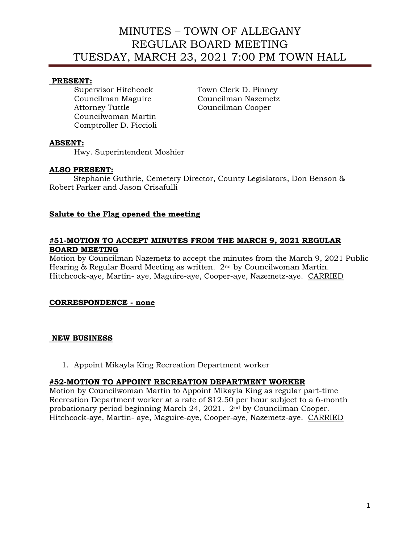# MINUTES – TOWN OF ALLEGANY REGULAR BOARD MEETING TUESDAY, MARCH 23, 2021 7:00 PM TOWN HALL

## **PRESENT:**

Supervisor Hitchcock Town Clerk D. Pinney Councilman Maguire Councilman Nazemetz Attorney Tuttle Councilman Cooper Councilwoman Martin Comptroller D. Piccioli

### **ABSENT:**

Hwy. Superintendent Moshier

# **ALSO PRESENT:**

 Stephanie Guthrie, Cemetery Director, County Legislators, Don Benson & Robert Parker and Jason Crisafulli

# **Salute to the Flag opened the meeting**

# **#51-MOTION TO ACCEPT MINUTES FROM THE MARCH 9, 2021 REGULAR BOARD MEETING**

Motion by Councilman Nazemetz to accept the minutes from the March 9, 2021 Public Hearing & Regular Board Meeting as written. 2nd by Councilwoman Martin. Hitchcock-aye, Martin- aye, Maguire-aye, Cooper-aye, Nazemetz-aye. CARRIED

### **CORRESPONDENCE - none**

### **NEW BUSINESS**

1. Appoint Mikayla King Recreation Department worker

## **#52-MOTION TO APPOINT RECREATION DEPARTMENT WORKER**

Motion by Councilwoman Martin to Appoint Mikayla King as regular part-time Recreation Department worker at a rate of \$12.50 per hour subject to a 6-month probationary period beginning March 24, 2021. 2nd by Councilman Cooper. Hitchcock-aye, Martin- aye, Maguire-aye, Cooper-aye, Nazemetz-aye. CARRIED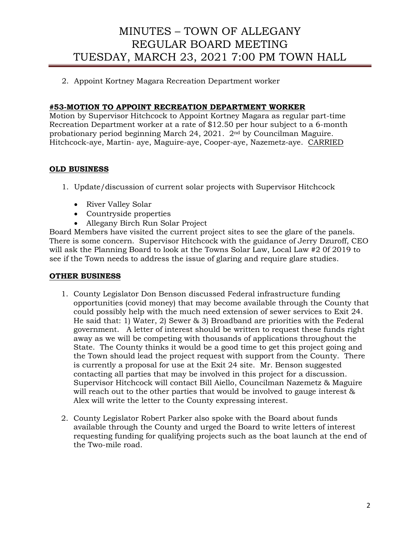# MINUTES – TOWN OF ALLEGANY REGULAR BOARD MEETING TUESDAY, MARCH 23, 2021 7:00 PM TOWN HALL

2. Appoint Kortney Magara Recreation Department worker

## **#53-MOTION TO APPOINT RECREATION DEPARTMENT WORKER**

Motion by Supervisor Hitchcock to Appoint Kortney Magara as regular part-time Recreation Department worker at a rate of \$12.50 per hour subject to a 6-month probationary period beginning March 24, 2021. 2nd by Councilman Maguire. Hitchcock-aye, Martin- aye, Maguire-aye, Cooper-aye, Nazemetz-aye. CARRIED

# **OLD BUSINESS**

- 1. Update/discussion of current solar projects with Supervisor Hitchcock
	- River Valley Solar
	- Countryside properties
	- Allegany Birch Run Solar Project

Board Members have visited the current project sites to see the glare of the panels. There is some concern. Supervisor Hitchcock with the guidance of Jerry Dzuroff, CEO will ask the Planning Board to look at the Towns Solar Law, Local Law #2 0f 2019 to see if the Town needs to address the issue of glaring and require glare studies.

### **OTHER BUSINESS**

- 1. County Legislator Don Benson discussed Federal infrastructure funding opportunities (covid money) that may become available through the County that could possibly help with the much need extension of sewer services to Exit 24. He said that: 1) Water, 2) Sewer & 3) Broadband are priorities with the Federal government. A letter of interest should be written to request these funds right away as we will be competing with thousands of applications throughout the State. The County thinks it would be a good time to get this project going and the Town should lead the project request with support from the County. There is currently a proposal for use at the Exit 24 site. Mr. Benson suggested contacting all parties that may be involved in this project for a discussion. Supervisor Hitchcock will contact Bill Aiello, Councilman Nazemetz & Maguire will reach out to the other parties that would be involved to gauge interest & Alex will write the letter to the County expressing interest.
- 2. County Legislator Robert Parker also spoke with the Board about funds available through the County and urged the Board to write letters of interest requesting funding for qualifying projects such as the boat launch at the end of the Two-mile road.